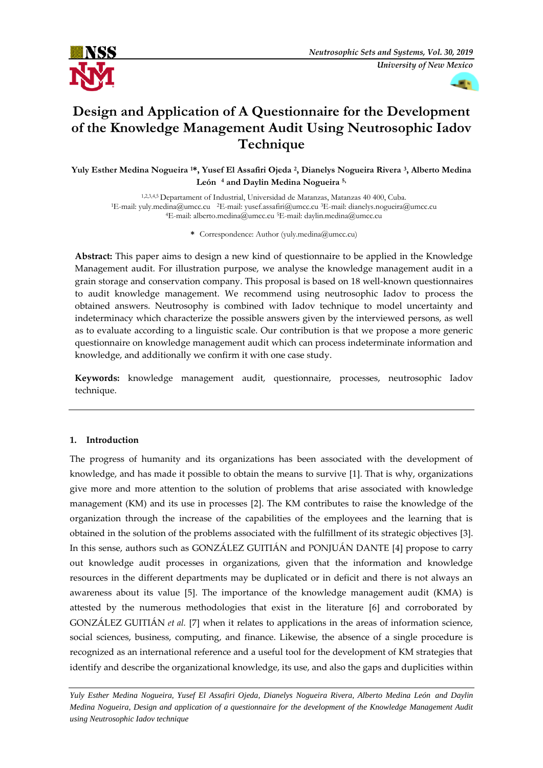



# **Design and Application of A Questionnaire for the Development of the Knowledge Management Audit Using Neutrosophic Iadov Technique**

**Yuly Esther Medina Nogueira <sup>1</sup>\*, Yusef El Assafiri Ojeda <sup>2</sup> , Dianelys Nogueira Rivera <sup>3</sup> , Alberto Medina León<sup>4</sup> and Daylin Medina Nogueira 5,**

1,2,3,4,5 Departament of Industrial, Universidad de Matanzas, Matanzas 40 400, Cuba. <sup>1</sup>E-mail: yuly.medina@umcc.cu <sup>2</sup>E-mail: yusef.assafiri@umcc.cu <sup>3</sup>E-mail: dianelys.nogueira@umcc.cu <sup>4</sup>E-mail: alberto.medina@umcc.cu <sup>5</sup>E-mail: daylin.medina@umcc.cu

**\*** Correspondence: Author (yuly.medina@umcc.cu)

**Abstract:** This paper aims to design a new kind of questionnaire to be applied in the Knowledge Management audit. For illustration purpose, we analyse the knowledge management audit in a grain storage and conservation company. This proposal is based on 18 well-known questionnaires to audit knowledge management. We recommend using neutrosophic Iadov to process the obtained answers. Neutrosophy is combined with Iadov technique to model uncertainty and indeterminacy which characterize the possible answers given by the interviewed persons, as well as to evaluate according to a linguistic scale. Our contribution is that we propose a more generic questionnaire on knowledge management audit which can process indeterminate information and knowledge, and additionally we confirm it with one case study.

**Keywords:** knowledge management audit, questionnaire, processes, neutrosophic Iadov technique.

# **1. Introduction**

The progress of humanity and its organizations has been associated with the development of knowledge, and has made it possible to obtain the means to survive [\[1\]](#page-16-0). That is why, organizations give more and more attention to the solution of problems that arise associated with knowledge management (KM) and its use in processes [\[2\]](#page-16-1). The KM contributes to raise the knowledge of the organization through the increase of the capabilities of the employees and the learning that is obtained in the solution of the problems associated with the fulfillment of its strategic objectives [\[3\]](#page-16-2). In this sense, authors such as [GONZÁLEZ GUITIÁN and PONJUÁN DANTE](#page-16-3) [4] propose to carry out knowledge audit processes in organizations, given that the information and knowledge resources in the different departments may be duplicated or in deficit and there is not always an awareness about its value [\[5\]](#page-16-4). The importance of the knowledge management audit (KMA) is attested by the numerous methodologies that exist in the literature [\[6\]](#page-16-5) and corroborated by [GONZÁLEZ GUITIÁN](#page-16-6) *et al.* [7] when it relates to applications in the areas of information science, social sciences, business, computing, and finance. Likewise, the absence of a single procedure is recognized as an international reference and a useful tool for the development of KM strategies that identify and describe the organizational knowledge, its use, and also the gaps and duplicities within

*Yuly Esther Medina Nogueira, Yusef El Assafiri Ojeda, Dianelys Nogueira Rivera, Alberto Medina León and Daylin Medina Nogueira, Design and application of a questionnaire for the development of the Knowledge Management Audit using Neutrosophic Iadov technique*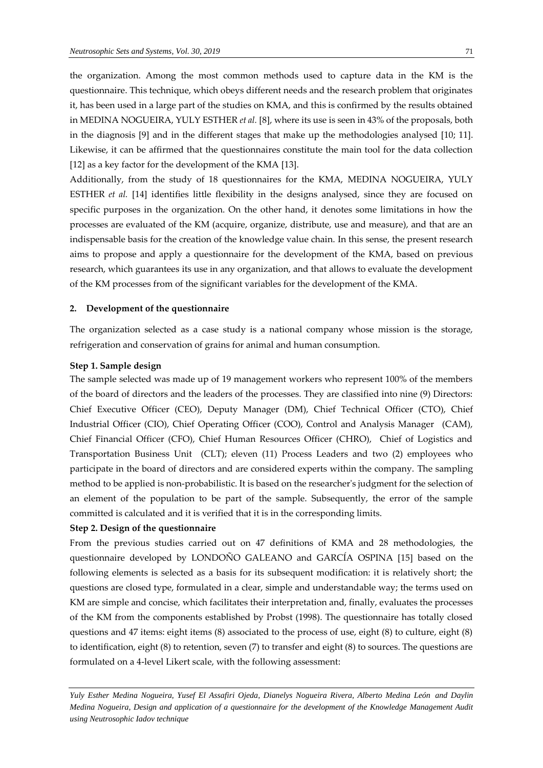the organization. Among the most common methods used to capture data in the KM is the questionnaire. This technique, which obeys different needs and the research problem that originates it, has been used in a large part of the studies on KMA, and this is confirmed by the results obtained i[n MEDINA NOGUEIRA, YULY ESTHER](#page-16-7) *et al.* [8], where its use is seen in 43% of the proposals, both in the diagnosis [\[9\]](#page-16-8) and in the different stages that make up the methodologies analysed [\[10;](#page-16-9) [11\]](#page-16-10). Likewise, it can be affirmed that the questionnaires constitute the main tool for the data collection [\[12\]](#page-17-0) as a key factor for the development of the KMA [\[13\]](#page-17-1).

Additionally, from the study of 18 questionnaires for the KMA, [MEDINA NOGUEIRA, YULY](#page-17-2)  ESTHER *et al.* [14] identifies little flexibility in the designs analysed, since they are focused on specific purposes in the organization. On the other hand, it denotes some limitations in how the processes are evaluated of the KM (acquire, organize, distribute, use and measure), and that are an indispensable basis for the creation of the knowledge value chain. In this sense, the present research aims to propose and apply a questionnaire for the development of the KMA, based on previous research, which guarantees its use in any organization, and that allows to evaluate the development of the KM processes from of the significant variables for the development of the KMA.

#### **2. Development of the questionnaire**

The organization selected as a case study is a national company whose mission is the storage, refrigeration and conservation of grains for animal and human consumption.

#### **Step 1. Sample design**

The sample selected was made up of 19 management workers who represent 100% of the members of the board of directors and the leaders of the processes. They are classified into nine (9) Directors: Chief Executive Officer (CEO), Deputy Manager (DM), Chief Technical Officer (CTO), Chief Industrial Officer (CIO), Chief Operating Officer (COO), Control and Analysis Manager (CAM), Chief Financial Officer (CFO), Chief Human Resources Officer (CHRO), Chief of Logistics and Transportation Business Unit (CLT); eleven (11) Process Leaders and two (2) employees who participate in the board of directors and are considered experts within the company. The sampling method to be applied is non-probabilistic. It is based on the researcher's judgment for the selection of an element of the population to be part of the sample. Subsequently, the error of the sample committed is calculated and it is verified that it is in the corresponding limits.

#### **Step 2. Design of the questionnaire**

From the previous studies carried out on 47 definitions of KMA and 28 methodologies, the questionnaire developed by [LONDOÑO GALEANO and GARCÍA OSPINA \[15\]](#page-17-3) based on the following elements is selected as a basis for its subsequent modification: it is relatively short; the questions are closed type, formulated in a clear, simple and understandable way; the terms used on KM are simple and concise, which facilitates their interpretation and, finally, evaluates the processes of the KM from the components established by Probst (1998). The questionnaire has totally closed questions and 47 items: eight items (8) associated to the process of use, eight (8) to culture, eight (8) to identification, eight (8) to retention, seven (7) to transfer and eight (8) to sources. The questions are formulated on a 4-level Likert scale, with the following assessment: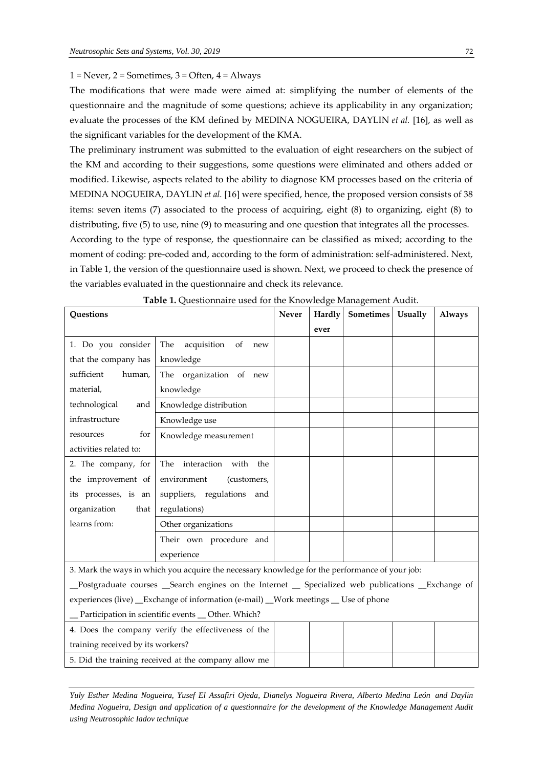## $1 =$  Never,  $2 =$  Sometimes,  $3 =$  Often,  $4 =$  Always

The modifications that were made were aimed at: simplifying the number of elements of the questionnaire and the magnitude of some questions; achieve its applicability in any organization; evaluate the processes of the KM defined by [MEDINA NOGUEIRA, DAYLIN](#page-17-4) *et al.* [16], as well as the significant variables for the development of the KMA.

The preliminary instrument was submitted to the evaluation of eight researchers on the subject of the KM and according to their suggestions, some questions were eliminated and others added or modified. Likewise, aspects related to the ability to diagnose KM processes based on the criteria of [MEDINA NOGUEIRA, DAYLIN](#page-17-4) *et al.* [16] were specified, hence, the proposed version consists of 38 items: seven items (7) associated to the process of acquiring, eight (8) to organizing, eight (8) to distributing, five (5) to use, nine (9) to measuring and one question that integrates all the processes. According to the type of response, the questionnaire can be classified as mixed; according to the moment of coding: pre-coded and, according to the form of administration: self-administered. Next, in Table 1, the version of the questionnaire used is shown. Next, we proceed to check the presence of the variables evaluated in the questionnaire and check its relevance.

|                                                                                    | <b>Table 1.</b> Questionnaire used for the Knowledge Management Audit.                              | Never |        |                          |                |               |  |
|------------------------------------------------------------------------------------|-----------------------------------------------------------------------------------------------------|-------|--------|--------------------------|----------------|---------------|--|
| Questions                                                                          |                                                                                                     |       | Hardly | $\label{eq:1} Sometimes$ | <b>Usually</b> | <b>Always</b> |  |
|                                                                                    |                                                                                                     |       | ever   |                          |                |               |  |
| 1. Do you consider                                                                 | acquisition<br>of<br>The<br>new                                                                     |       |        |                          |                |               |  |
| that the company has                                                               | knowledge                                                                                           |       |        |                          |                |               |  |
| sufficient<br>human,                                                               | The organization of new                                                                             |       |        |                          |                |               |  |
| material,                                                                          | knowledge                                                                                           |       |        |                          |                |               |  |
| technological<br>and                                                               | Knowledge distribution                                                                              |       |        |                          |                |               |  |
| infrastructure                                                                     | Knowledge use                                                                                       |       |        |                          |                |               |  |
| for<br>resources                                                                   | Knowledge measurement                                                                               |       |        |                          |                |               |  |
| activities related to:                                                             |                                                                                                     |       |        |                          |                |               |  |
| 2. The company, for                                                                | The interaction with<br>the                                                                         |       |        |                          |                |               |  |
| the improvement of                                                                 | environment<br>(customers,                                                                          |       |        |                          |                |               |  |
| its processes, is an                                                               | suppliers, regulations<br>and                                                                       |       |        |                          |                |               |  |
| organization<br>that                                                               | regulations)                                                                                        |       |        |                          |                |               |  |
| learns from:                                                                       | Other organizations                                                                                 |       |        |                          |                |               |  |
|                                                                                    | Their own procedure and                                                                             |       |        |                          |                |               |  |
|                                                                                    | experience                                                                                          |       |        |                          |                |               |  |
|                                                                                    | 3. Mark the ways in which you acquire the necessary knowledge for the performance of your job:      |       |        |                          |                |               |  |
|                                                                                    | _Postgraduate courses __Search engines on the Internet _ Specialized web publications __Exchange of |       |        |                          |                |               |  |
| experiences (live) _Exchange of information (e-mail) _Work meetings _ Use of phone |                                                                                                     |       |        |                          |                |               |  |
| _Participation in scientific events _ Other. Which?                                |                                                                                                     |       |        |                          |                |               |  |
|                                                                                    | 4. Does the company verify the effectiveness of the                                                 |       |        |                          |                |               |  |
| training received by its workers?                                                  |                                                                                                     |       |        |                          |                |               |  |
|                                                                                    | 5. Did the training received at the company allow me                                                |       |        |                          |                |               |  |

**Table 1.** Questionnaire used for the Knowledge Management Audit.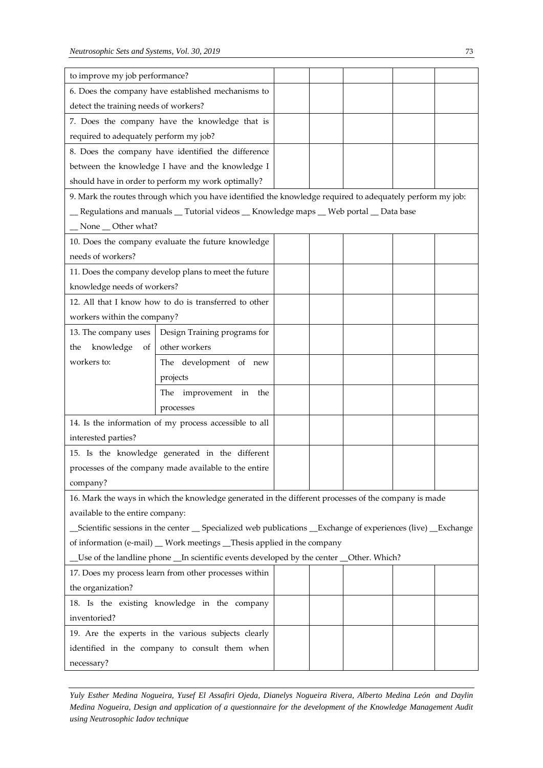| to improve my job performance?                                                         |                                                                                                                |  |  |  |  |  |  |  |
|----------------------------------------------------------------------------------------|----------------------------------------------------------------------------------------------------------------|--|--|--|--|--|--|--|
|                                                                                        | 6. Does the company have established mechanisms to                                                             |  |  |  |  |  |  |  |
| detect the training needs of workers?                                                  |                                                                                                                |  |  |  |  |  |  |  |
|                                                                                        | 7. Does the company have the knowledge that is                                                                 |  |  |  |  |  |  |  |
| required to adequately perform my job?                                                 |                                                                                                                |  |  |  |  |  |  |  |
|                                                                                        | 8. Does the company have identified the difference                                                             |  |  |  |  |  |  |  |
|                                                                                        | between the knowledge I have and the knowledge I                                                               |  |  |  |  |  |  |  |
|                                                                                        | should have in order to perform my work optimally?                                                             |  |  |  |  |  |  |  |
|                                                                                        | 9. Mark the routes through which you have identified the knowledge required to adequately perform my job:      |  |  |  |  |  |  |  |
|                                                                                        | _ Regulations and manuals _ Tutorial videos _ Knowledge maps _ Web portal _ Data base                          |  |  |  |  |  |  |  |
| _None _Other what?                                                                     |                                                                                                                |  |  |  |  |  |  |  |
|                                                                                        | 10. Does the company evaluate the future knowledge                                                             |  |  |  |  |  |  |  |
| needs of workers?                                                                      |                                                                                                                |  |  |  |  |  |  |  |
|                                                                                        | 11. Does the company develop plans to meet the future                                                          |  |  |  |  |  |  |  |
| knowledge needs of workers?                                                            |                                                                                                                |  |  |  |  |  |  |  |
|                                                                                        | 12. All that I know how to do is transferred to other                                                          |  |  |  |  |  |  |  |
| workers within the company?                                                            |                                                                                                                |  |  |  |  |  |  |  |
| 13. The company uses                                                                   | Design Training programs for                                                                                   |  |  |  |  |  |  |  |
| knowledge<br>of<br>the                                                                 | other workers                                                                                                  |  |  |  |  |  |  |  |
| workers to:                                                                            | The development of new                                                                                         |  |  |  |  |  |  |  |
|                                                                                        | projects                                                                                                       |  |  |  |  |  |  |  |
|                                                                                        | The improvement in the                                                                                         |  |  |  |  |  |  |  |
|                                                                                        | processes                                                                                                      |  |  |  |  |  |  |  |
|                                                                                        | 14. Is the information of my process accessible to all                                                         |  |  |  |  |  |  |  |
| interested parties?                                                                    |                                                                                                                |  |  |  |  |  |  |  |
|                                                                                        | 15. Is the knowledge generated in the different                                                                |  |  |  |  |  |  |  |
|                                                                                        | processes of the company made available to the entire                                                          |  |  |  |  |  |  |  |
| company?                                                                               |                                                                                                                |  |  |  |  |  |  |  |
|                                                                                        | 16. Mark the ways in which the knowledge generated in the different processes of the company is made           |  |  |  |  |  |  |  |
| available to the entire company:                                                       |                                                                                                                |  |  |  |  |  |  |  |
|                                                                                        | _Scientific sessions in the center __ Specialized web publications __Exchange of experiences (live) __Exchange |  |  |  |  |  |  |  |
| of information (e-mail) _ Work meetings _ Thesis applied in the company                |                                                                                                                |  |  |  |  |  |  |  |
| Use of the landline phone _In scientific events developed by the center _Other. Which? |                                                                                                                |  |  |  |  |  |  |  |
| 17. Does my process learn from other processes within                                  |                                                                                                                |  |  |  |  |  |  |  |
| the organization?                                                                      |                                                                                                                |  |  |  |  |  |  |  |
|                                                                                        | 18. Is the existing knowledge in the company                                                                   |  |  |  |  |  |  |  |
| inventoried?                                                                           |                                                                                                                |  |  |  |  |  |  |  |
|                                                                                        | 19. Are the experts in the various subjects clearly                                                            |  |  |  |  |  |  |  |
|                                                                                        | identified in the company to consult them when                                                                 |  |  |  |  |  |  |  |
| necessary?                                                                             |                                                                                                                |  |  |  |  |  |  |  |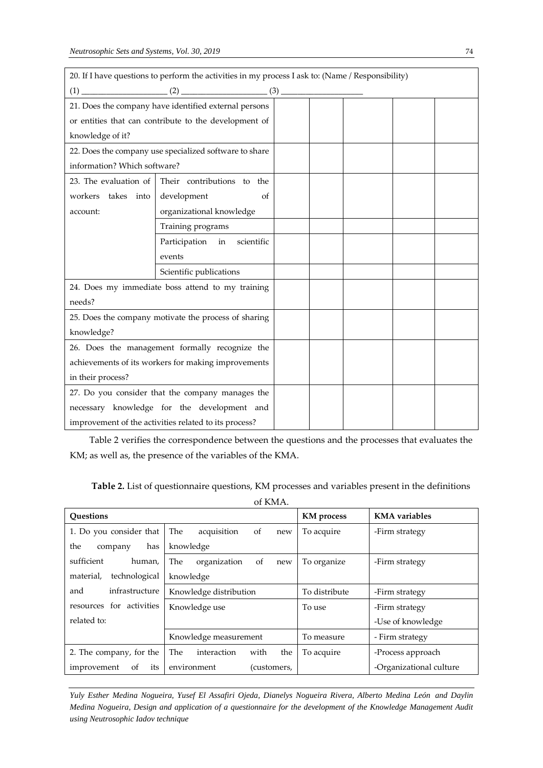| 20. If I have questions to perform the activities in my process I ask to: (Name / Responsibility) |                                                        |  |  |  |  |  |  |
|---------------------------------------------------------------------------------------------------|--------------------------------------------------------|--|--|--|--|--|--|
|                                                                                                   |                                                        |  |  |  |  |  |  |
|                                                                                                   | 21. Does the company have identified external persons  |  |  |  |  |  |  |
|                                                                                                   | or entities that can contribute to the development of  |  |  |  |  |  |  |
| knowledge of it?                                                                                  |                                                        |  |  |  |  |  |  |
|                                                                                                   | 22. Does the company use specialized software to share |  |  |  |  |  |  |
| information? Which software?                                                                      |                                                        |  |  |  |  |  |  |
| 23. The evaluation of                                                                             | Their contributions to the                             |  |  |  |  |  |  |
| workers takes into                                                                                | development<br>of                                      |  |  |  |  |  |  |
| account:                                                                                          | organizational knowledge                               |  |  |  |  |  |  |
|                                                                                                   | Training programs                                      |  |  |  |  |  |  |
|                                                                                                   | Participation<br>scientific<br>in                      |  |  |  |  |  |  |
|                                                                                                   | events                                                 |  |  |  |  |  |  |
|                                                                                                   | Scientific publications                                |  |  |  |  |  |  |
|                                                                                                   | 24. Does my immediate boss attend to my training       |  |  |  |  |  |  |
| needs?                                                                                            |                                                        |  |  |  |  |  |  |
|                                                                                                   | 25. Does the company motivate the process of sharing   |  |  |  |  |  |  |
| knowledge?                                                                                        |                                                        |  |  |  |  |  |  |
| 26. Does the management formally recognize the                                                    |                                                        |  |  |  |  |  |  |
| achievements of its workers for making improvements                                               |                                                        |  |  |  |  |  |  |
| in their process?                                                                                 |                                                        |  |  |  |  |  |  |
| 27. Do you consider that the company manages the                                                  |                                                        |  |  |  |  |  |  |
|                                                                                                   | necessary knowledge for the development and            |  |  |  |  |  |  |
|                                                                                                   | improvement of the activities related to its process?  |  |  |  |  |  |  |

Table 2 verifies the correspondence between the questions and the processes that evaluates the KM; as well as, the presence of the variables of the KMA.

of KMA.

| <b>Ouestions</b>           |                                    | <b>KM</b> process | <b>KMA</b> variables    |
|----------------------------|------------------------------------|-------------------|-------------------------|
| 1. Do you consider that    | The<br>acquisition<br>of<br>new    | To acquire        | -Firm strategy          |
| the<br>has<br>company      | knowledge                          |                   |                         |
| sufficient<br>human,       | The<br>organization<br>of<br>new   | To organize       | -Firm strategy          |
| technological<br>material, | knowledge                          |                   |                         |
| infrastructure<br>and      | Knowledge distribution             | To distribute     | -Firm strategy          |
| resources for activities   | Knowledge use                      | To use            | -Firm strategy          |
| related to:                |                                    |                   | -Use of knowledge       |
|                            | Knowledge measurement              | To measure        | - Firm strategy         |
| 2. The company, for the    | The.<br>interaction<br>with<br>the | To acquire        | -Process approach       |
| improvement<br>its<br>of   | environment<br>(customers,         |                   | -Organizational culture |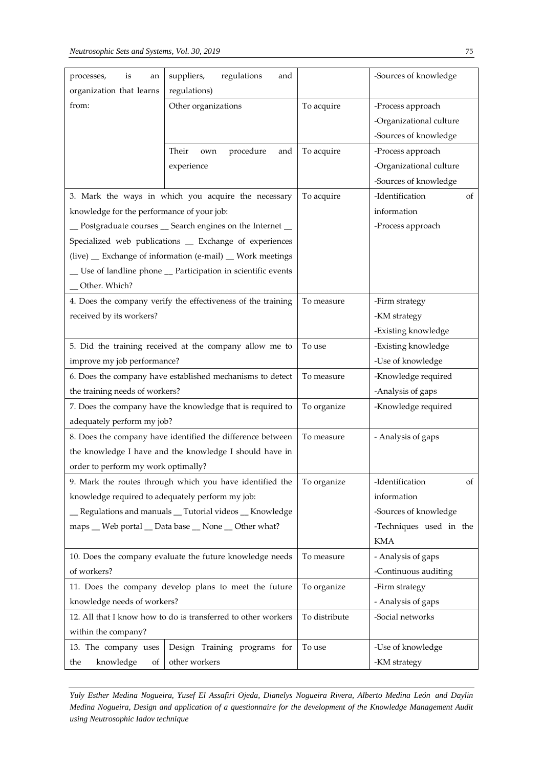| organization that learns<br>regulations)<br>from:<br>Other organizations<br>To acquire<br>-Process approach<br>-Organizational culture<br>-Sources of knowledge<br>procedure<br>To acquire<br>-Process approach<br>Their<br>and<br>own<br>experience<br>-Organizational culture<br>-Sources of knowledge<br>3. Mark the ways in which you acquire the necessary<br>To acquire<br>-Identification<br>of<br>information<br>knowledge for the performance of your job:<br>_ Postgraduate courses _ Search engines on the Internet _<br>-Process approach<br>Specialized web publications _ Exchange of experiences<br>(live) _ Exchange of information (e-mail) _ Work meetings<br>_ Use of landline phone _ Participation in scientific events<br>Other. Which?<br>4. Does the company verify the effectiveness of the training<br>To measure<br>-Firm strategy<br>received by its workers?<br>-KM strategy<br>-Existing knowledge<br>5. Did the training received at the company allow me to<br>To use<br>-Existing knowledge<br>-Use of knowledge<br>improve my job performance?<br>To measure<br>6. Does the company have established mechanisms to detect<br>-Knowledge required<br>the training needs of workers?<br>-Analysis of gaps<br>7. Does the company have the knowledge that is required to<br>To organize<br>-Knowledge required<br>adequately perform my job?<br>To measure<br>8. Does the company have identified the difference between<br>- Analysis of gaps<br>the knowledge I have and the knowledge I should have in<br>order to perform my work optimally?<br>9. Mark the routes through which you have identified the<br>To organize<br>-Identification<br>οf<br>knowledge required to adequately perform my job:<br>information<br>-Sources of knowledge<br>_ Regulations and manuals _ Tutorial videos _ Knowledge<br>-Techniques used in the<br>maps _ Web portal _ Data base _ None _ Other what?<br><b>KMA</b><br>10. Does the company evaluate the future knowledge needs<br>To measure<br>- Analysis of gaps<br>of workers?<br>-Continuous auditing<br>11. Does the company develop plans to meet the future<br>To organize<br>-Firm strategy<br>knowledge needs of workers?<br>- Analysis of gaps<br>12. All that I know how to do is transferred to other workers<br>To distribute<br>-Social networks | is<br>processes,<br>an | suppliers,<br>regulations<br>and | -Sources of knowledge |
|---------------------------------------------------------------------------------------------------------------------------------------------------------------------------------------------------------------------------------------------------------------------------------------------------------------------------------------------------------------------------------------------------------------------------------------------------------------------------------------------------------------------------------------------------------------------------------------------------------------------------------------------------------------------------------------------------------------------------------------------------------------------------------------------------------------------------------------------------------------------------------------------------------------------------------------------------------------------------------------------------------------------------------------------------------------------------------------------------------------------------------------------------------------------------------------------------------------------------------------------------------------------------------------------------------------------------------------------------------------------------------------------------------------------------------------------------------------------------------------------------------------------------------------------------------------------------------------------------------------------------------------------------------------------------------------------------------------------------------------------------------------------------------------------------------------------------------------------------------------------------------------------------------------------------------------------------------------------------------------------------------------------------------------------------------------------------------------------------------------------------------------------------------------------------------------------------------------------------------------------------------------------------------------------------------------------------------------|------------------------|----------------------------------|-----------------------|
|                                                                                                                                                                                                                                                                                                                                                                                                                                                                                                                                                                                                                                                                                                                                                                                                                                                                                                                                                                                                                                                                                                                                                                                                                                                                                                                                                                                                                                                                                                                                                                                                                                                                                                                                                                                                                                                                                                                                                                                                                                                                                                                                                                                                                                                                                                                                       |                        |                                  |                       |
|                                                                                                                                                                                                                                                                                                                                                                                                                                                                                                                                                                                                                                                                                                                                                                                                                                                                                                                                                                                                                                                                                                                                                                                                                                                                                                                                                                                                                                                                                                                                                                                                                                                                                                                                                                                                                                                                                                                                                                                                                                                                                                                                                                                                                                                                                                                                       |                        |                                  |                       |
|                                                                                                                                                                                                                                                                                                                                                                                                                                                                                                                                                                                                                                                                                                                                                                                                                                                                                                                                                                                                                                                                                                                                                                                                                                                                                                                                                                                                                                                                                                                                                                                                                                                                                                                                                                                                                                                                                                                                                                                                                                                                                                                                                                                                                                                                                                                                       |                        |                                  |                       |
|                                                                                                                                                                                                                                                                                                                                                                                                                                                                                                                                                                                                                                                                                                                                                                                                                                                                                                                                                                                                                                                                                                                                                                                                                                                                                                                                                                                                                                                                                                                                                                                                                                                                                                                                                                                                                                                                                                                                                                                                                                                                                                                                                                                                                                                                                                                                       |                        |                                  |                       |
|                                                                                                                                                                                                                                                                                                                                                                                                                                                                                                                                                                                                                                                                                                                                                                                                                                                                                                                                                                                                                                                                                                                                                                                                                                                                                                                                                                                                                                                                                                                                                                                                                                                                                                                                                                                                                                                                                                                                                                                                                                                                                                                                                                                                                                                                                                                                       |                        |                                  |                       |
|                                                                                                                                                                                                                                                                                                                                                                                                                                                                                                                                                                                                                                                                                                                                                                                                                                                                                                                                                                                                                                                                                                                                                                                                                                                                                                                                                                                                                                                                                                                                                                                                                                                                                                                                                                                                                                                                                                                                                                                                                                                                                                                                                                                                                                                                                                                                       |                        |                                  |                       |
|                                                                                                                                                                                                                                                                                                                                                                                                                                                                                                                                                                                                                                                                                                                                                                                                                                                                                                                                                                                                                                                                                                                                                                                                                                                                                                                                                                                                                                                                                                                                                                                                                                                                                                                                                                                                                                                                                                                                                                                                                                                                                                                                                                                                                                                                                                                                       |                        |                                  |                       |
|                                                                                                                                                                                                                                                                                                                                                                                                                                                                                                                                                                                                                                                                                                                                                                                                                                                                                                                                                                                                                                                                                                                                                                                                                                                                                                                                                                                                                                                                                                                                                                                                                                                                                                                                                                                                                                                                                                                                                                                                                                                                                                                                                                                                                                                                                                                                       |                        |                                  |                       |
|                                                                                                                                                                                                                                                                                                                                                                                                                                                                                                                                                                                                                                                                                                                                                                                                                                                                                                                                                                                                                                                                                                                                                                                                                                                                                                                                                                                                                                                                                                                                                                                                                                                                                                                                                                                                                                                                                                                                                                                                                                                                                                                                                                                                                                                                                                                                       |                        |                                  |                       |
|                                                                                                                                                                                                                                                                                                                                                                                                                                                                                                                                                                                                                                                                                                                                                                                                                                                                                                                                                                                                                                                                                                                                                                                                                                                                                                                                                                                                                                                                                                                                                                                                                                                                                                                                                                                                                                                                                                                                                                                                                                                                                                                                                                                                                                                                                                                                       |                        |                                  |                       |
|                                                                                                                                                                                                                                                                                                                                                                                                                                                                                                                                                                                                                                                                                                                                                                                                                                                                                                                                                                                                                                                                                                                                                                                                                                                                                                                                                                                                                                                                                                                                                                                                                                                                                                                                                                                                                                                                                                                                                                                                                                                                                                                                                                                                                                                                                                                                       |                        |                                  |                       |
|                                                                                                                                                                                                                                                                                                                                                                                                                                                                                                                                                                                                                                                                                                                                                                                                                                                                                                                                                                                                                                                                                                                                                                                                                                                                                                                                                                                                                                                                                                                                                                                                                                                                                                                                                                                                                                                                                                                                                                                                                                                                                                                                                                                                                                                                                                                                       |                        |                                  |                       |
|                                                                                                                                                                                                                                                                                                                                                                                                                                                                                                                                                                                                                                                                                                                                                                                                                                                                                                                                                                                                                                                                                                                                                                                                                                                                                                                                                                                                                                                                                                                                                                                                                                                                                                                                                                                                                                                                                                                                                                                                                                                                                                                                                                                                                                                                                                                                       |                        |                                  |                       |
|                                                                                                                                                                                                                                                                                                                                                                                                                                                                                                                                                                                                                                                                                                                                                                                                                                                                                                                                                                                                                                                                                                                                                                                                                                                                                                                                                                                                                                                                                                                                                                                                                                                                                                                                                                                                                                                                                                                                                                                                                                                                                                                                                                                                                                                                                                                                       |                        |                                  |                       |
|                                                                                                                                                                                                                                                                                                                                                                                                                                                                                                                                                                                                                                                                                                                                                                                                                                                                                                                                                                                                                                                                                                                                                                                                                                                                                                                                                                                                                                                                                                                                                                                                                                                                                                                                                                                                                                                                                                                                                                                                                                                                                                                                                                                                                                                                                                                                       |                        |                                  |                       |
|                                                                                                                                                                                                                                                                                                                                                                                                                                                                                                                                                                                                                                                                                                                                                                                                                                                                                                                                                                                                                                                                                                                                                                                                                                                                                                                                                                                                                                                                                                                                                                                                                                                                                                                                                                                                                                                                                                                                                                                                                                                                                                                                                                                                                                                                                                                                       |                        |                                  |                       |
|                                                                                                                                                                                                                                                                                                                                                                                                                                                                                                                                                                                                                                                                                                                                                                                                                                                                                                                                                                                                                                                                                                                                                                                                                                                                                                                                                                                                                                                                                                                                                                                                                                                                                                                                                                                                                                                                                                                                                                                                                                                                                                                                                                                                                                                                                                                                       |                        |                                  |                       |
|                                                                                                                                                                                                                                                                                                                                                                                                                                                                                                                                                                                                                                                                                                                                                                                                                                                                                                                                                                                                                                                                                                                                                                                                                                                                                                                                                                                                                                                                                                                                                                                                                                                                                                                                                                                                                                                                                                                                                                                                                                                                                                                                                                                                                                                                                                                                       |                        |                                  |                       |
|                                                                                                                                                                                                                                                                                                                                                                                                                                                                                                                                                                                                                                                                                                                                                                                                                                                                                                                                                                                                                                                                                                                                                                                                                                                                                                                                                                                                                                                                                                                                                                                                                                                                                                                                                                                                                                                                                                                                                                                                                                                                                                                                                                                                                                                                                                                                       |                        |                                  |                       |
|                                                                                                                                                                                                                                                                                                                                                                                                                                                                                                                                                                                                                                                                                                                                                                                                                                                                                                                                                                                                                                                                                                                                                                                                                                                                                                                                                                                                                                                                                                                                                                                                                                                                                                                                                                                                                                                                                                                                                                                                                                                                                                                                                                                                                                                                                                                                       |                        |                                  |                       |
|                                                                                                                                                                                                                                                                                                                                                                                                                                                                                                                                                                                                                                                                                                                                                                                                                                                                                                                                                                                                                                                                                                                                                                                                                                                                                                                                                                                                                                                                                                                                                                                                                                                                                                                                                                                                                                                                                                                                                                                                                                                                                                                                                                                                                                                                                                                                       |                        |                                  |                       |
|                                                                                                                                                                                                                                                                                                                                                                                                                                                                                                                                                                                                                                                                                                                                                                                                                                                                                                                                                                                                                                                                                                                                                                                                                                                                                                                                                                                                                                                                                                                                                                                                                                                                                                                                                                                                                                                                                                                                                                                                                                                                                                                                                                                                                                                                                                                                       |                        |                                  |                       |
|                                                                                                                                                                                                                                                                                                                                                                                                                                                                                                                                                                                                                                                                                                                                                                                                                                                                                                                                                                                                                                                                                                                                                                                                                                                                                                                                                                                                                                                                                                                                                                                                                                                                                                                                                                                                                                                                                                                                                                                                                                                                                                                                                                                                                                                                                                                                       |                        |                                  |                       |
|                                                                                                                                                                                                                                                                                                                                                                                                                                                                                                                                                                                                                                                                                                                                                                                                                                                                                                                                                                                                                                                                                                                                                                                                                                                                                                                                                                                                                                                                                                                                                                                                                                                                                                                                                                                                                                                                                                                                                                                                                                                                                                                                                                                                                                                                                                                                       |                        |                                  |                       |
|                                                                                                                                                                                                                                                                                                                                                                                                                                                                                                                                                                                                                                                                                                                                                                                                                                                                                                                                                                                                                                                                                                                                                                                                                                                                                                                                                                                                                                                                                                                                                                                                                                                                                                                                                                                                                                                                                                                                                                                                                                                                                                                                                                                                                                                                                                                                       |                        |                                  |                       |
|                                                                                                                                                                                                                                                                                                                                                                                                                                                                                                                                                                                                                                                                                                                                                                                                                                                                                                                                                                                                                                                                                                                                                                                                                                                                                                                                                                                                                                                                                                                                                                                                                                                                                                                                                                                                                                                                                                                                                                                                                                                                                                                                                                                                                                                                                                                                       |                        |                                  |                       |
|                                                                                                                                                                                                                                                                                                                                                                                                                                                                                                                                                                                                                                                                                                                                                                                                                                                                                                                                                                                                                                                                                                                                                                                                                                                                                                                                                                                                                                                                                                                                                                                                                                                                                                                                                                                                                                                                                                                                                                                                                                                                                                                                                                                                                                                                                                                                       |                        |                                  |                       |
|                                                                                                                                                                                                                                                                                                                                                                                                                                                                                                                                                                                                                                                                                                                                                                                                                                                                                                                                                                                                                                                                                                                                                                                                                                                                                                                                                                                                                                                                                                                                                                                                                                                                                                                                                                                                                                                                                                                                                                                                                                                                                                                                                                                                                                                                                                                                       |                        |                                  |                       |
|                                                                                                                                                                                                                                                                                                                                                                                                                                                                                                                                                                                                                                                                                                                                                                                                                                                                                                                                                                                                                                                                                                                                                                                                                                                                                                                                                                                                                                                                                                                                                                                                                                                                                                                                                                                                                                                                                                                                                                                                                                                                                                                                                                                                                                                                                                                                       |                        |                                  |                       |
|                                                                                                                                                                                                                                                                                                                                                                                                                                                                                                                                                                                                                                                                                                                                                                                                                                                                                                                                                                                                                                                                                                                                                                                                                                                                                                                                                                                                                                                                                                                                                                                                                                                                                                                                                                                                                                                                                                                                                                                                                                                                                                                                                                                                                                                                                                                                       |                        |                                  |                       |
|                                                                                                                                                                                                                                                                                                                                                                                                                                                                                                                                                                                                                                                                                                                                                                                                                                                                                                                                                                                                                                                                                                                                                                                                                                                                                                                                                                                                                                                                                                                                                                                                                                                                                                                                                                                                                                                                                                                                                                                                                                                                                                                                                                                                                                                                                                                                       |                        |                                  |                       |
|                                                                                                                                                                                                                                                                                                                                                                                                                                                                                                                                                                                                                                                                                                                                                                                                                                                                                                                                                                                                                                                                                                                                                                                                                                                                                                                                                                                                                                                                                                                                                                                                                                                                                                                                                                                                                                                                                                                                                                                                                                                                                                                                                                                                                                                                                                                                       |                        |                                  |                       |
|                                                                                                                                                                                                                                                                                                                                                                                                                                                                                                                                                                                                                                                                                                                                                                                                                                                                                                                                                                                                                                                                                                                                                                                                                                                                                                                                                                                                                                                                                                                                                                                                                                                                                                                                                                                                                                                                                                                                                                                                                                                                                                                                                                                                                                                                                                                                       |                        |                                  |                       |
|                                                                                                                                                                                                                                                                                                                                                                                                                                                                                                                                                                                                                                                                                                                                                                                                                                                                                                                                                                                                                                                                                                                                                                                                                                                                                                                                                                                                                                                                                                                                                                                                                                                                                                                                                                                                                                                                                                                                                                                                                                                                                                                                                                                                                                                                                                                                       |                        |                                  |                       |
|                                                                                                                                                                                                                                                                                                                                                                                                                                                                                                                                                                                                                                                                                                                                                                                                                                                                                                                                                                                                                                                                                                                                                                                                                                                                                                                                                                                                                                                                                                                                                                                                                                                                                                                                                                                                                                                                                                                                                                                                                                                                                                                                                                                                                                                                                                                                       |                        |                                  |                       |
|                                                                                                                                                                                                                                                                                                                                                                                                                                                                                                                                                                                                                                                                                                                                                                                                                                                                                                                                                                                                                                                                                                                                                                                                                                                                                                                                                                                                                                                                                                                                                                                                                                                                                                                                                                                                                                                                                                                                                                                                                                                                                                                                                                                                                                                                                                                                       |                        |                                  |                       |
| within the company?                                                                                                                                                                                                                                                                                                                                                                                                                                                                                                                                                                                                                                                                                                                                                                                                                                                                                                                                                                                                                                                                                                                                                                                                                                                                                                                                                                                                                                                                                                                                                                                                                                                                                                                                                                                                                                                                                                                                                                                                                                                                                                                                                                                                                                                                                                                   |                        |                                  |                       |
| Design Training programs for<br>To use<br>13. The company uses<br>-Use of knowledge                                                                                                                                                                                                                                                                                                                                                                                                                                                                                                                                                                                                                                                                                                                                                                                                                                                                                                                                                                                                                                                                                                                                                                                                                                                                                                                                                                                                                                                                                                                                                                                                                                                                                                                                                                                                                                                                                                                                                                                                                                                                                                                                                                                                                                                   |                        |                                  |                       |
| knowledge<br>other workers<br>-KM strategy<br>the<br>Οf                                                                                                                                                                                                                                                                                                                                                                                                                                                                                                                                                                                                                                                                                                                                                                                                                                                                                                                                                                                                                                                                                                                                                                                                                                                                                                                                                                                                                                                                                                                                                                                                                                                                                                                                                                                                                                                                                                                                                                                                                                                                                                                                                                                                                                                                               |                        |                                  |                       |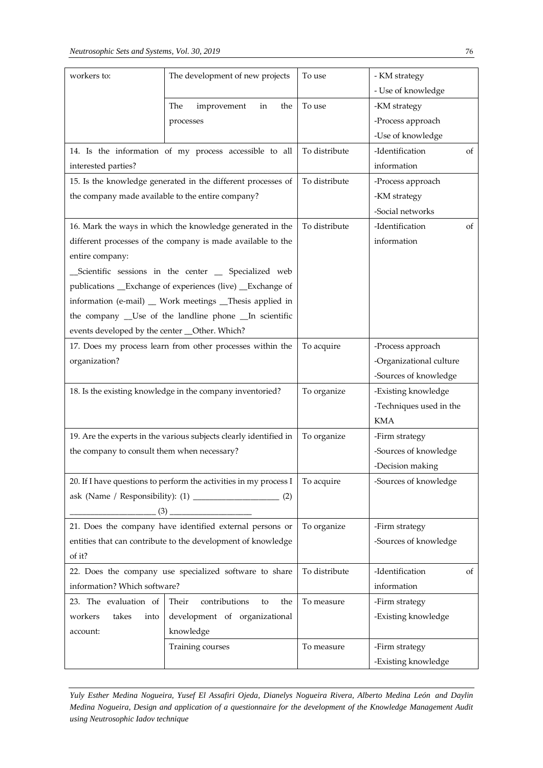| workers to:                                   | The development of new projects                                   | To use        | - KM strategy<br>- Use of knowledge |  |  |  |
|-----------------------------------------------|-------------------------------------------------------------------|---------------|-------------------------------------|--|--|--|
|                                               | The<br>improvement<br>the<br>in                                   | To use        | -KM strategy                        |  |  |  |
|                                               | processes                                                         |               | -Process approach                   |  |  |  |
|                                               |                                                                   |               | -Use of knowledge                   |  |  |  |
|                                               | 14. Is the information of my process accessible to all            | To distribute | -Identification<br>οf               |  |  |  |
| interested parties?                           |                                                                   |               | information                         |  |  |  |
|                                               | 15. Is the knowledge generated in the different processes of      | To distribute | -Process approach                   |  |  |  |
|                                               | the company made available to the entire company?                 |               | -KM strategy                        |  |  |  |
|                                               |                                                                   |               | -Social networks                    |  |  |  |
|                                               | 16. Mark the ways in which the knowledge generated in the         | To distribute | -Identification<br>οf               |  |  |  |
|                                               | different processes of the company is made available to the       |               | information                         |  |  |  |
| entire company:                               |                                                                   |               |                                     |  |  |  |
|                                               | _Scientific sessions in the center _ Specialized web              |               |                                     |  |  |  |
|                                               | publications __Exchange of experiences (live) __Exchange of       |               |                                     |  |  |  |
|                                               | information (e-mail) _ Work meetings _Thesis applied in           |               |                                     |  |  |  |
|                                               | the company _Use of the landline phone _In scientific             |               |                                     |  |  |  |
| events developed by the center _Other. Which? |                                                                   |               |                                     |  |  |  |
|                                               | 17. Does my process learn from other processes within the         | To acquire    | -Process approach                   |  |  |  |
| organization?                                 |                                                                   |               | -Organizational culture             |  |  |  |
|                                               |                                                                   |               | -Sources of knowledge               |  |  |  |
|                                               | 18. Is the existing knowledge in the company inventoried?         | To organize   | -Existing knowledge                 |  |  |  |
|                                               |                                                                   |               | -Techniques used in the             |  |  |  |
|                                               |                                                                   |               | <b>KMA</b>                          |  |  |  |
|                                               | 19. Are the experts in the various subjects clearly identified in | To organize   | -Firm strategy                      |  |  |  |
| the company to consult them when necessary?   |                                                                   |               | -Sources of knowledge               |  |  |  |
|                                               |                                                                   |               | -Decision making                    |  |  |  |
|                                               | 20. If I have questions to perform the activities in my process I | To acquire    | -Sources of knowledge               |  |  |  |
|                                               |                                                                   |               |                                     |  |  |  |
|                                               |                                                                   |               |                                     |  |  |  |
|                                               | 21. Does the company have identified external persons or          | To organize   | -Firm strategy                      |  |  |  |
|                                               | entities that can contribute to the development of knowledge      |               | -Sources of knowledge               |  |  |  |
| of it?                                        |                                                                   |               |                                     |  |  |  |
|                                               | 22. Does the company use specialized software to share            | To distribute | -Identification<br>οf               |  |  |  |
| information? Which software?                  |                                                                   |               | information                         |  |  |  |
| 23. The evaluation of                         | contributions<br>Their<br>the<br>to                               | To measure    | -Firm strategy                      |  |  |  |
| workers<br>takes<br>into                      | development of organizational                                     |               | -Existing knowledge                 |  |  |  |
| account:                                      | knowledge                                                         |               |                                     |  |  |  |
|                                               | Training courses                                                  | To measure    | -Firm strategy                      |  |  |  |
|                                               |                                                                   |               | -Existing knowledge                 |  |  |  |

*Yuly Esther Medina Nogueira, Yusef El Assafiri Ojeda, Dianelys Nogueira Rivera, Alberto Medina León and Daylin Medina Nogueira, Design and application of a questionnaire for the development of the Knowledge Management Audit using Neutrosophic Iadov technique*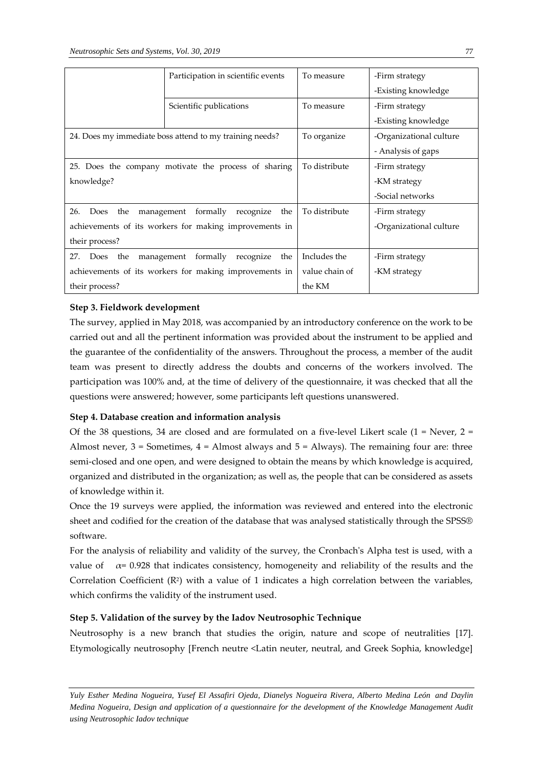|                                  | Participation in scientific events                      | To measure     | -Firm strategy          |
|----------------------------------|---------------------------------------------------------|----------------|-------------------------|
|                                  |                                                         |                | -Existing knowledge     |
|                                  | Scientific publications                                 | To measure     | -Firm strategy          |
|                                  |                                                         |                | -Existing knowledge     |
|                                  | 24. Does my immediate boss attend to my training needs? | To organize    | -Organizational culture |
|                                  |                                                         |                | - Analysis of gaps      |
|                                  | 25. Does the company motivate the process of sharing    | To distribute  | -Firm strategy          |
| knowledge?                       |                                                         |                | -KM strategy            |
|                                  |                                                         |                | -Social networks        |
| 26.<br>Does<br>the<br>management | formally<br>recognize<br>the                            | To distribute  | -Firm strategy          |
|                                  | achievements of its workers for making improvements in  |                | -Organizational culture |
| their process?                   |                                                         |                |                         |
| 27.<br>the<br>management<br>Does | formally<br>the<br>recognize                            | Includes the   | -Firm strategy          |
|                                  | achievements of its workers for making improvements in  | value chain of | -KM strategy            |
| their process?                   |                                                         | the KM         |                         |

## **Step 3. Fieldwork development**

The survey, applied in May 2018, was accompanied by an introductory conference on the work to be carried out and all the pertinent information was provided about the instrument to be applied and the guarantee of the confidentiality of the answers. Throughout the process, a member of the audit team was present to directly address the doubts and concerns of the workers involved. The participation was 100% and, at the time of delivery of the questionnaire, it was checked that all the questions were answered; however, some participants left questions unanswered.

## **Step 4. Database creation and information analysis**

Of the 38 questions, 34 are closed and are formulated on a five-level Likert scale  $(1 =$  Never,  $2 =$ Almost never,  $3 =$  Sometimes,  $4 =$  Almost always and  $5 =$  Always). The remaining four are: three semi-closed and one open, and were designed to obtain the means by which knowledge is acquired, organized and distributed in the organization; as well as, the people that can be considered as assets of knowledge within it.

Once the 19 surveys were applied, the information was reviewed and entered into the electronic sheet and codified for the creation of the database that was analysed statistically through the SPSS® software.

For the analysis of reliability and validity of the survey, the Cronbach's Alpha test is used, with a value of  $\alpha$  = 0.928 that indicates consistency, homogeneity and reliability of the results and the Correlation Coefficient  $(R^2)$  with a value of 1 indicates a high correlation between the variables, which confirms the validity of the instrument used.

## **Step 5. Validation of the survey by the Iadov Neutrosophic Technique**

Neutrosophy is a new branch that studies the origin, nature and scope of neutralities [\[17\]](#page-17-5). Etymologically neutrosophy [French neutre <Latin neuter, neutral, and Greek Sophia, knowledge]

*Yuly Esther Medina Nogueira, Yusef El Assafiri Ojeda, Dianelys Nogueira Rivera, Alberto Medina León and Daylin Medina Nogueira, Design and application of a questionnaire for the development of the Knowledge Management Audit using Neutrosophic Iadov technique*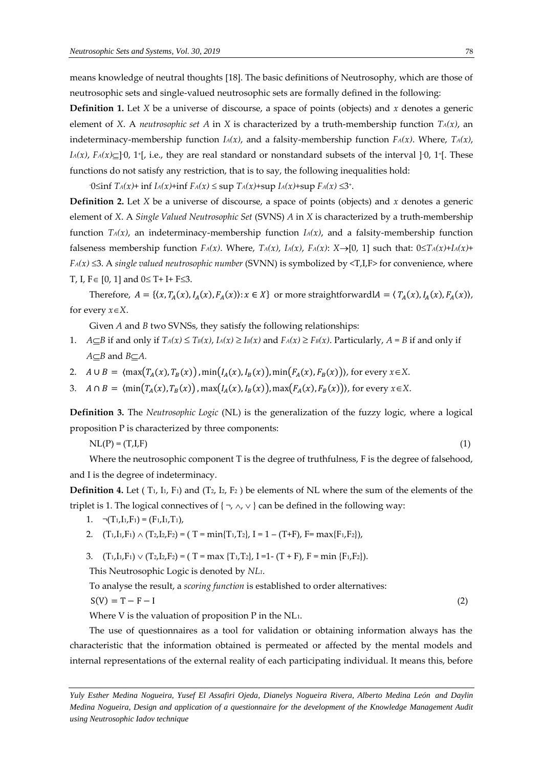means knowledge of neutral thoughts [\[18\]](#page-17-6). The basic definitions of Neutrosophy, which are those of neutrosophic sets and single-valued neutrosophic sets are formally defined in the following: **Definition 1.** Let *X* be a universe of discourse, a space of points (objects) and *x* denotes a generic

element of *X*. A *neutrosophic set A* in *X* is characterized by a truth-membership function *TA(x)*, an indeterminacy-membership function  $I_A(x)$ , and a falsity-membership function  $F_A(x)$ . Where,  $T_A(x)$ ,  $I_A(x)$ ,  $F_A(x) \subseteq ]0$ , 1<sup>+</sup>[, i.e., they are real standard or nonstandard subsets of the interval ] $0$ , 1<sup>+</sup>[. These functions do not satisfy any restriction, that is to say, the following inequalities hold:

 $-0 \le \inf T_A(x) + \inf I_A(x) + \inf F_A(x) \le \sup T_A(x) + \sup I_A(x) + \sup F_A(x) \le 3^+.$ 

**Definition 2.** Let *X* be a universe of discourse, a space of points (objects) and *x* denotes a generic element of *X*. A *Single Valued Neutrosophic Set* (SVNS) *A* in *X* is characterized by a truth-membership function  $T_A(x)$ , an indeterminacy-membership function  $I_A(x)$ , and a falsity-membership function falseness membership function  $F_A(x)$ . Where,  $T_A(x)$ ,  $I_A(x)$ ,  $F_A(x)$ :  $X \rightarrow [0, 1]$  such that:  $0 \leq T_A(x) + I_A(x) + I_A(x)$  $F_A(x) \leq 3$ . A *single valued neutrosophic number* (SVNN) is symbolized by  $\langle T, I, F \rangle$  for convenience, where T, I,  $F \in [0, 1]$  and  $0 \le T + I + F \le 3$ .

Therefore,  $A = \{(x, T_A(x), I_A(x), F_A(x)) : x \in X\}$  or more straightforwardl $A = \langle T_A(x), I_A(x), F_A(x) \rangle$ , for every  $x \in X$ .

Given *A* and *B* two SVNSs, they satisfy the following relationships:

- 1.  $A \subseteq B$  if and only if  $T_A(x) \le T_B(x)$ ,  $I_A(x) \ge I_B(x)$  and  $F_A(x) \ge F_B(x)$ . Particularly,  $A = B$  if and only if  $A \subseteq B$  and  $B \subseteq A$ .
- 2.  $A \cup B = \langle \max(T_A(x), T_B(x)) \rangle, \min(I_A(x), I_B(x)) \rangle, \min(F_A(x), F_B(x)) \rangle$ , for every  $x \in X$ .
- 3.  $A \cap B = \langle \min(T_A(x), T_B(x)), \max(T_A(x), T_B(x)), \max(F_A(x), F_B(x)) \rangle$ , for every  $x \in X$ .

**Definition 3.** The *Neutrosophic Logic* (NL) is the generalization of the fuzzy logic, where a logical proposition P is characterized by three components:

 $N L(P) = (T, I, F)$  (1)

Where the neutrosophic component T is the degree of truthfulness, F is the degree of falsehood, and I is the degree of indeterminacy.

**Definition 4.** Let  $(T_1, I_1, F_1)$  and  $(T_2, I_2, F_2)$  be elements of NL where the sum of the elements of the triplet is 1. The logical connectives of  $\{\neg, \land, \lor\}$  can be defined in the following way:

- 1.  $\neg$ (T<sub>1</sub>,I<sub>1</sub>,F<sub>1</sub>) = (F<sub>1</sub>,I<sub>1</sub>,T<sub>1</sub>),
- 2.  $(T_1,I_1,F_1) \wedge (T_2,I_2,F_2) = (T = min{T_1,T_2}, I = 1 (T+F), F = max{F_1,F_2}),$

3.  $(T_1,I_1,F_1) \vee (T_2,I_2,F_2) = (T = \max \{T_1,T_2\}, I =1-(T + F), F = \min \{F_1,F_2\}).$ 

This Neutrosophic Logic is denoted by *NL1*.

To analyse the result, a *scoring function* is established to order alternatives:

$$
S(V) = T - F - I \tag{2}
$$

Where V is the valuation of proposition P in the NL1.

The use of questionnaires as a tool for validation or obtaining information always has the characteristic that the information obtained is permeated or affected by the mental models and internal representations of the external reality of each participating individual. It means this, before

*Yuly Esther Medina Nogueira, Yusef El Assafiri Ojeda, Dianelys Nogueira Rivera, Alberto Medina León and Daylin Medina Nogueira, Design and application of a questionnaire for the development of the Knowledge Management Audit using Neutrosophic Iadov technique*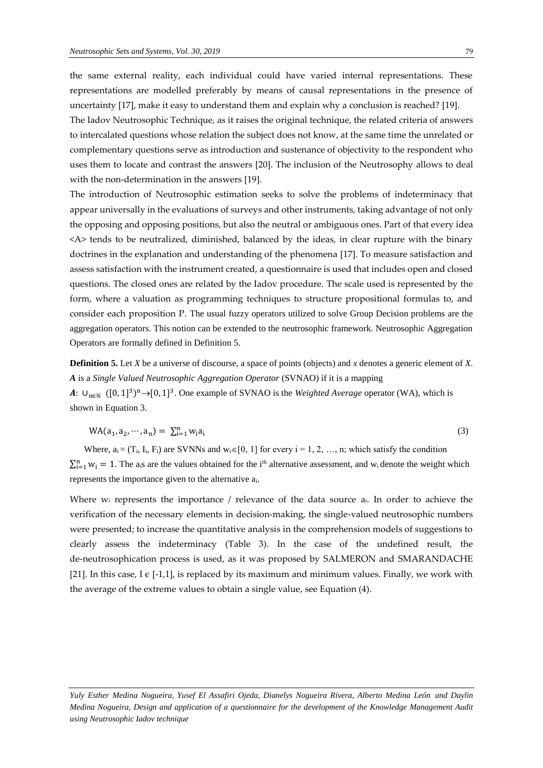the same external reality, each individual could have varied internal representations. These representations are modelled preferably by means of causal representations in the presence of uncertainty [\[17\]](#page-17-5), make it easy to understand them and explain why a conclusion is reached? [\[19\]](#page-17-7).

The Iadov Neutrosophic Technique, as it raises the original technique, the related criteria of answers to intercalated questions whose relation the subject does not know, at the same time the unrelated or complementary questions serve as introduction and sustenance of objectivity to the respondent who uses them to locate and contrast the answers [\[20\]](#page-17-8). The inclusion of the Neutrosophy allows to deal with the non-determination in the answers [\[19\]](#page-17-7).

The introduction of Neutrosophic estimation seeks to solve the problems of indeterminacy that appear universally in the evaluations of surveys and other instruments, taking advantage of not only the opposing and opposing positions, but also the neutral or ambiguous ones. Part of that every idea <A> tends to be neutralized, diminished, balanced by the ideas, in clear rupture with the binary doctrines in the explanation and understanding of the phenomena [\[17\]](#page-17-5). To measure satisfaction and assess satisfaction with the instrument created, a questionnaire is used that includes open and closed questions. The closed ones are related by the Iadov procedure. The scale used is represented by the form, where a valuation as programming techniques to structure propositional formulas to, and consider each proposition P. The usual fuzzy operators utilized to solve Group Decision problems are the aggregation operators. This notion can be extended to the neutrosophic framework. Neutrosophic Aggregation Operators are formally defined in Definition 5.

**Definition 5.** Let *X* be a universe of discourse, a space of points (objects) and *x* denotes a generic element of *X*. *A* is a *Single Valued Neutrosophic Aggregation Operator* (SVNAO) if it is a mapping *A*: ∪<sub>n∈N</sub> ([0, 1]<sup>3</sup>)<sup>n</sup>→[0, 1]<sup>3</sup>. One example of SVNAO is the *Weighted Average* operator (WA), which is shown in Equation 3.

$$
WA(a_1, a_2, \cdots, a_n) = \sum_{i=1}^{n} w_i a_i
$$
 (3)

Where,  $a_i = (T_i, I_i, F_i)$  are SVNNs and  $w_i \in [0, 1]$  for every  $i = 1, 2, ..., n$ ; which satisfy the condition  $\sum_{i=1}^{n} w_i = 1$ . The a<sub>i</sub>s are the values obtained for the i<sup>th</sup> alternative assessment, and w<sub>i</sub> denote the weight which represents the importance given to the alternative ai.

Where w<sub>i</sub> represents the importance / relevance of the data source ai. In order to achieve the verification of the necessary elements in decision-making, the single-valued neutrosophic numbers were presented; to increase the quantitative analysis in the comprehension models of suggestions to clearly assess the indeterminacy (Table 3). In the case of the undefined result, the de-neutrosophication process is used, as it was proposed by [SALMERON and SMARANDACHE](#page-17-9)  [21]. In this case, I  $\epsilon$  [-1,1], is replaced by its maximum and minimum values. Finally, we work with the average of the extreme values to obtain a single value, see Equation (4).

*Yuly Esther Medina Nogueira, Yusef El Assafiri Ojeda, Dianelys Nogueira Rivera, Alberto Medina León and Daylin Medina Nogueira, Design and application of a questionnaire for the development of the Knowledge Management Audit using Neutrosophic Iadov technique*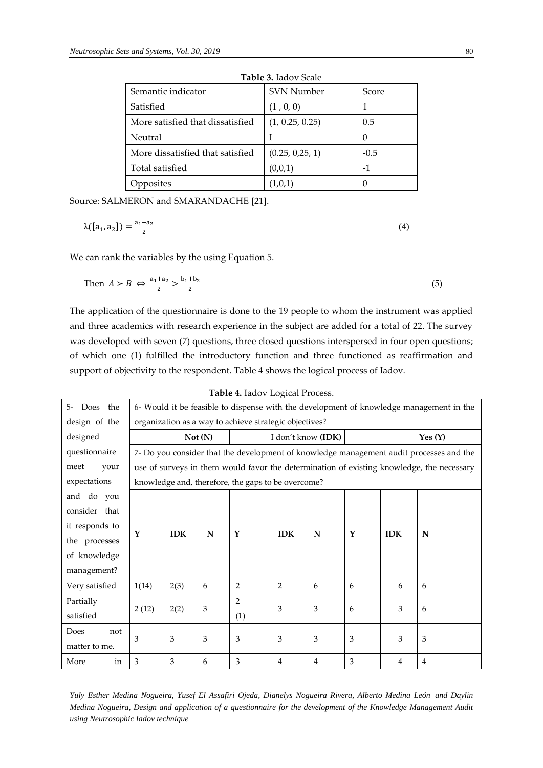| Table 5. Iduov ocale             |                   |          |  |  |  |  |  |
|----------------------------------|-------------------|----------|--|--|--|--|--|
| Semantic indicator               | <b>SVN Number</b> | Score    |  |  |  |  |  |
| Satisfied                        | (1, 0, 0)         |          |  |  |  |  |  |
| More satisfied that dissatisfied | (1, 0.25, 0.25)   | 0.5      |  |  |  |  |  |
| Neutral                          |                   | $\theta$ |  |  |  |  |  |
| More dissatisfied that satisfied | (0.25, 0.25, 1)   | $-0.5$   |  |  |  |  |  |
| Total satisfied                  | (0,0,1)           | -1       |  |  |  |  |  |
| Opposites                        | (1,0,1)           | O        |  |  |  |  |  |

**Table 3.** Iadov Scale

Source: [SALMERON and SMARANDACHE](#page-17-9) [21].

$$
\lambda([a_1, a_2]) = \frac{a_1 + a_2}{2} \tag{4}
$$

We can rank the variables by the using Equation 5.

Then 
$$
A > B \iff \frac{a_1 + a_2}{2} > \frac{b_1 + b_2}{2} \tag{5}
$$

The application of the questionnaire is done to the 19 people to whom the instrument was applied and three academics with research experience in the subject are added for a total of 22. The survey was developed with seven (7) questions, three closed questions interspersed in four open questions; of which one (1) fulfilled the introductory function and three functioned as reaffirmation and support of objectivity to the respondent. Table 4 shows the logical process of Iadov.

| Table 4. Iadov Logical Process. |                                                                                         |            |   |                                                        |                    |   |   |            |                                                                                           |
|---------------------------------|-----------------------------------------------------------------------------------------|------------|---|--------------------------------------------------------|--------------------|---|---|------------|-------------------------------------------------------------------------------------------|
| Does the<br>$5-$                | 6- Would it be feasible to dispense with the development of knowledge management in the |            |   |                                                        |                    |   |   |            |                                                                                           |
| design of the                   |                                                                                         |            |   | organization as a way to achieve strategic objectives? |                    |   |   |            |                                                                                           |
| designed                        |                                                                                         | Not(N)     |   |                                                        | I don't know (IDK) |   |   |            | Yes $(Y)$                                                                                 |
| questionnaire                   |                                                                                         |            |   |                                                        |                    |   |   |            | 7- Do you consider that the development of knowledge management audit processes and the   |
| meet<br>your                    |                                                                                         |            |   |                                                        |                    |   |   |            | use of surveys in them would favor the determination of existing knowledge, the necessary |
| expectations                    |                                                                                         |            |   | knowledge and, therefore, the gaps to be overcome?     |                    |   |   |            |                                                                                           |
| and do you                      |                                                                                         |            |   |                                                        |                    |   |   |            |                                                                                           |
| consider that                   |                                                                                         |            |   |                                                        |                    |   |   |            |                                                                                           |
| it responds to                  | Y                                                                                       | <b>IDK</b> |   | Y                                                      |                    | N | Y | <b>IDK</b> | N                                                                                         |
| the processes                   |                                                                                         |            | N |                                                        | <b>IDK</b>         |   |   |            |                                                                                           |
| of knowledge                    |                                                                                         |            |   |                                                        |                    |   |   |            |                                                                                           |
| management?                     |                                                                                         |            |   |                                                        |                    |   |   |            |                                                                                           |
| Very satisfied                  | 1(14)                                                                                   | 2(3)       | 6 | 2                                                      | 2                  | 6 | 6 | 6          | 6                                                                                         |
| Partially                       |                                                                                         |            |   | $\overline{2}$                                         | 3                  |   |   |            |                                                                                           |
| satisfied                       | 2(12)                                                                                   | 2(2)       | 3 | (1)                                                    |                    | 3 | 6 | 3          | 6                                                                                         |
| Does<br>not                     |                                                                                         |            |   |                                                        |                    |   |   |            |                                                                                           |
| matter to me.                   | 3                                                                                       | 3          | 3 | 3                                                      | 3                  | 3 | 3 | 3          | 3                                                                                         |
| More<br>in                      | 3                                                                                       | 3          | 6 | 3                                                      | $\overline{4}$     | 4 | 3 | 4          | $\overline{4}$                                                                            |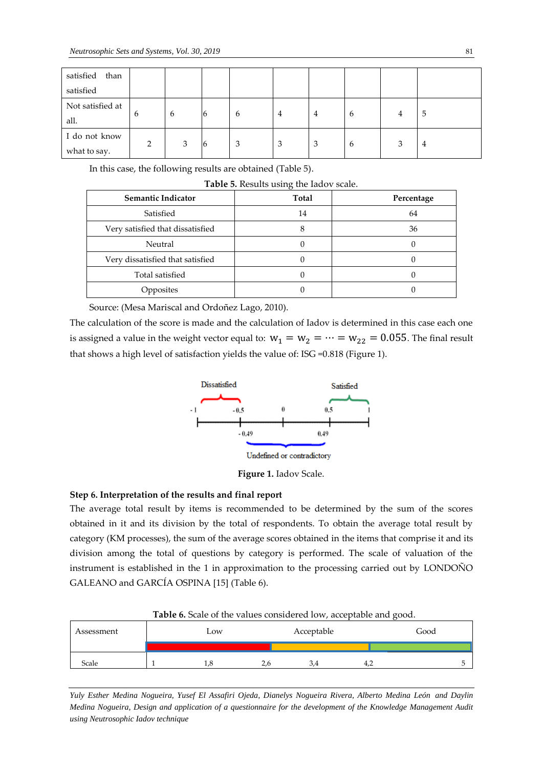| satisfied<br>than |                |   |                |   |   |   |   |   |   |
|-------------------|----------------|---|----------------|---|---|---|---|---|---|
| satisfied         |                |   |                |   |   |   |   |   |   |
| Not satisfied at  |                |   |                |   |   |   |   |   |   |
| all.              | 6              | 6 | $\overline{6}$ | 6 | 4 | 4 | 6 | 4 | 5 |
| I do not know     |                |   |                |   |   |   |   |   |   |
| what to say.      | $\overline{2}$ | 3 | 16             | 3 | 3 | 3 | 6 | 3 | 4 |

In this case, the following results are obtained (Table 5).

**Table 5.** Results using the Iadov scale.

| <b>Semantic Indicator</b>        | Total | Percentage |
|----------------------------------|-------|------------|
| Satisfied                        | 14    | 64         |
| Very satisfied that dissatisfied |       | 36         |
| Neutral                          |       |            |
| Very dissatisfied that satisfied |       |            |
| Total satisfied                  |       |            |
| Opposites                        |       |            |

Source: (Mesa Mariscal and Ordoñez Lago, 2010).

The calculation of the score is made and the calculation of Iadov is determined in this case each one is assigned a value in the weight vector equal to:  $w_1 = w_2 = \cdots = w_{22} = 0.055$ . The final result that shows a high level of satisfaction yields the value of: ISG =0.818 (Figure 1).



**Figure 1.** Iadov Scale.

## **Step 6. Interpretation of the results and final report**

The average total result by items is recommended to be determined by the sum of the scores obtained in it and its division by the total of respondents. To obtain the average total result by category (KM processes), the sum of the average scores obtained in the items that comprise it and its division among the total of questions by category is performed. The scale of valuation of the instrument is established in the 1 in approximation to the processing carried out by [LONDOÑO](#page-17-3)  GALEANO and GARCÍA OSPINA [15] (Table 6).

| Assessment | Low |  | Acceptable |     | Good |  |  |
|------------|-----|--|------------|-----|------|--|--|
|            |     |  |            |     |      |  |  |
| Scale      |     |  | 2.6        | 3.4 | 4.2  |  |  |

**Table 6.** Scale of the values considered low, acceptable and good.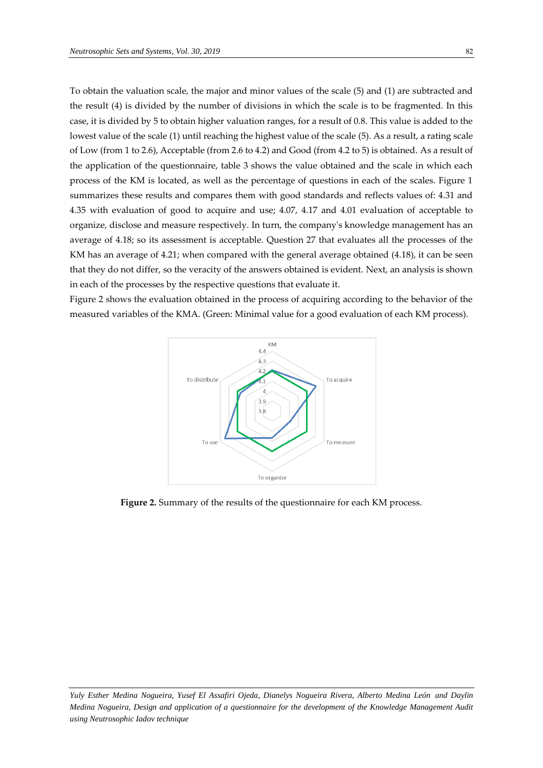To obtain the valuation scale, the major and minor values of the scale (5) and (1) are subtracted and the result (4) is divided by the number of divisions in which the scale is to be fragmented. In this case, it is divided by 5 to obtain higher valuation ranges, for a result of 0.8. This value is added to the lowest value of the scale (1) until reaching the highest value of the scale (5). As a result, a rating scale of Low (from 1 to 2.6), Acceptable (from 2.6 to 4.2) and Good (from 4.2 to 5) is obtained. As a result of the application of the questionnaire, table 3 shows the value obtained and the scale in which each process of the KM is located, as well as the percentage of questions in each of the scales. Figure 1 summarizes these results and compares them with good standards and reflects values of: 4.31 and 4.35 with evaluation of good to acquire and use; 4.07, 4.17 and 4.01 evaluation of acceptable to organize, disclose and measure respectively. In turn, the company's knowledge management has an average of 4.18; so its assessment is acceptable. Question 27 that evaluates all the processes of the KM has an average of 4.21; when compared with the general average obtained (4.18), it can be seen that they do not differ, so the veracity of the answers obtained is evident. Next, an analysis is shown in each of the processes by the respective questions that evaluate it.

Figure 2 shows the evaluation obtained in the process of acquiring according to the behavior of the measured variables of the KMA. (Green: Minimal value for a good evaluation of each KM process).



**Figure 2.** Summary of the results of the questionnaire for each KM process.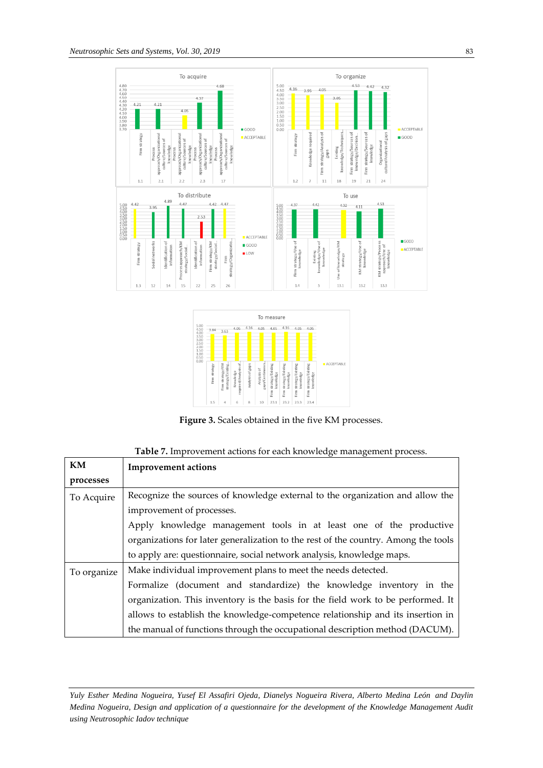



**Figure 3.** Scales obtained in the five KM processes.

| Table 7. Improvement actions for each knowledge management process |  |  |  |  |  |  |  |
|--------------------------------------------------------------------|--|--|--|--|--|--|--|
|--------------------------------------------------------------------|--|--|--|--|--|--|--|

| KM          | <b>Improvement actions</b>                                                         |  |  |  |  |  |  |
|-------------|------------------------------------------------------------------------------------|--|--|--|--|--|--|
| processes   |                                                                                    |  |  |  |  |  |  |
| To Acquire  | Recognize the sources of knowledge external to the organization and allow the      |  |  |  |  |  |  |
|             | improvement of processes.                                                          |  |  |  |  |  |  |
|             | Apply knowledge management tools in at least one of the productive                 |  |  |  |  |  |  |
|             | organizations for later generalization to the rest of the country. Among the tools |  |  |  |  |  |  |
|             | to apply are: questionnaire, social network analysis, knowledge maps.              |  |  |  |  |  |  |
| To organize | Make individual improvement plans to meet the needs detected.                      |  |  |  |  |  |  |
|             | Formalize (document and standardize) the knowledge inventory in the                |  |  |  |  |  |  |
|             | organization. This inventory is the basis for the field work to be performed. It   |  |  |  |  |  |  |
|             | allows to establish the knowledge-competence relationship and its insertion in     |  |  |  |  |  |  |
|             | the manual of functions through the occupational description method (DACUM).       |  |  |  |  |  |  |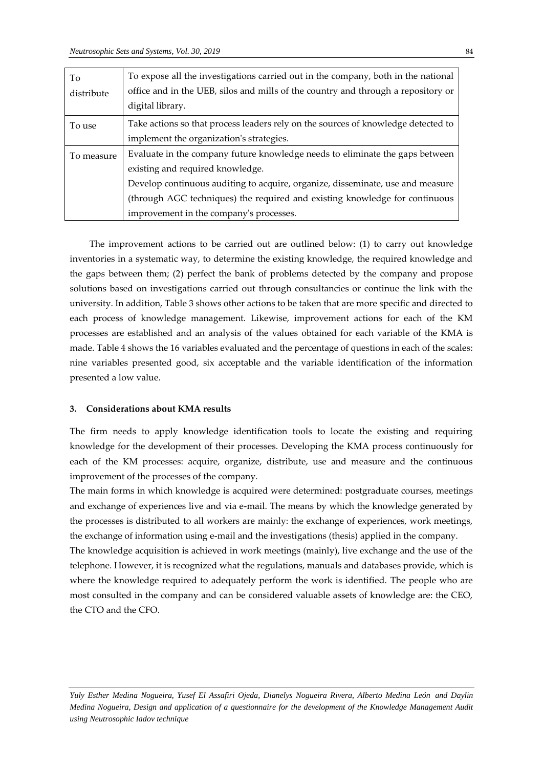| To         | To expose all the investigations carried out in the company, both in the national |
|------------|-----------------------------------------------------------------------------------|
| distribute | office and in the UEB, silos and mills of the country and through a repository or |
|            | digital library.                                                                  |
| To use     | Take actions so that process leaders rely on the sources of knowledge detected to |
|            | implement the organization's strategies.                                          |
| To measure | Evaluate in the company future knowledge needs to eliminate the gaps between      |
|            | existing and required knowledge.                                                  |
|            | Develop continuous auditing to acquire, organize, disseminate, use and measure    |
|            | (through AGC techniques) the required and existing knowledge for continuous       |
|            | improvement in the company's processes.                                           |

The improvement actions to be carried out are outlined below: (1) to carry out knowledge inventories in a systematic way, to determine the existing knowledge, the required knowledge and the gaps between them; (2) perfect the bank of problems detected by the company and propose solutions based on investigations carried out through consultancies or continue the link with the university. In addition, Table 3 shows other actions to be taken that are more specific and directed to each process of knowledge management. Likewise, improvement actions for each of the KM processes are established and an analysis of the values obtained for each variable of the KMA is made. Table 4 shows the 16 variables evaluated and the percentage of questions in each of the scales: nine variables presented good, six acceptable and the variable identification of the information presented a low value.

#### **3. Considerations about KMA results**

the CTO and the CFO.

The firm needs to apply knowledge identification tools to locate the existing and requiring knowledge for the development of their processes. Developing the KMA process continuously for each of the KM processes: acquire, organize, distribute, use and measure and the continuous improvement of the processes of the company.

The main forms in which knowledge is acquired were determined: postgraduate courses, meetings and exchange of experiences live and via e-mail. The means by which the knowledge generated by the processes is distributed to all workers are mainly: the exchange of experiences, work meetings, the exchange of information using e-mail and the investigations (thesis) applied in the company. The knowledge acquisition is achieved in work meetings (mainly), live exchange and the use of the telephone. However, it is recognized what the regulations, manuals and databases provide, which is where the knowledge required to adequately perform the work is identified. The people who are most consulted in the company and can be considered valuable assets of knowledge are: the CEO,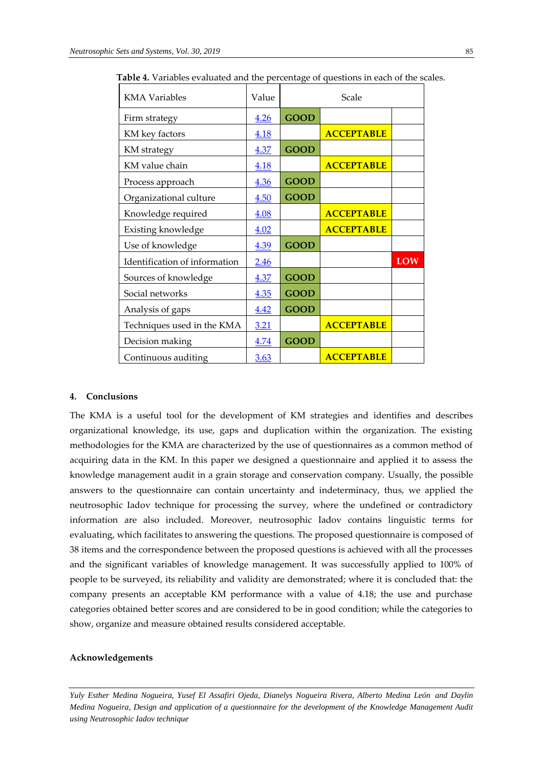| <b>KMA</b> Variables          | Value       | Scale       |                   |            |
|-------------------------------|-------------|-------------|-------------------|------------|
| Firm strategy                 | 4.26        | <b>GOOD</b> |                   |            |
| KM key factors                | 4.18        |             | <b>ACCEPTABLE</b> |            |
| KM strategy                   | 4.37        | <b>GOOD</b> |                   |            |
| KM value chain                | 4.18        |             | <b>ACCEPTABLE</b> |            |
| Process approach              | 4.36        | <b>GOOD</b> |                   |            |
| Organizational culture        | 4.50        | <b>GOOD</b> |                   |            |
| Knowledge required            | 4.08        |             | <b>ACCEPTABLE</b> |            |
| Existing knowledge            | 4.02        |             | <b>ACCEPTABLE</b> |            |
| Use of knowledge              | 4.39        | <b>GOOD</b> |                   |            |
| Identification of information | <u>2.46</u> |             |                   | <b>LOW</b> |
| Sources of knowledge          | 4.37        | <b>GOOD</b> |                   |            |
| Social networks               | 4.35        | <b>GOOD</b> |                   |            |
| Analysis of gaps              | 4.42        | <b>GOOD</b> |                   |            |
| Techniques used in the KMA    | 3.21        |             | <b>ACCEPTABLE</b> |            |
| Decision making               | 4.74        | <b>GOOD</b> |                   |            |
| Continuous auditing           | <u>3.63</u> |             | <b>ACCEPTABLE</b> |            |

**Table 4.** Variables evaluated and the percentage of questions in each of the scales.

#### **4. Conclusions**

The KMA is a useful tool for the development of KM strategies and identifies and describes organizational knowledge, its use, gaps and duplication within the organization. The existing methodologies for the KMA are characterized by the use of questionnaires as a common method of acquiring data in the KM. In this paper we designed a questionnaire and applied it to assess the knowledge management audit in a grain storage and conservation company. Usually, the possible answers to the questionnaire can contain uncertainty and indeterminacy, thus, we applied the neutrosophic Iadov technique for processing the survey, where the undefined or contradictory information are also included. Moreover, neutrosophic Iadov contains linguistic terms for evaluating, which facilitates to answering the questions. The proposed questionnaire is composed of 38 items and the correspondence between the proposed questions is achieved with all the processes and the significant variables of knowledge management. It was successfully applied to 100% of people to be surveyed, its reliability and validity are demonstrated; where it is concluded that: the company presents an acceptable KM performance with a value of 4.18; the use and purchase categories obtained better scores and are considered to be in good condition; while the categories to show, organize and measure obtained results considered acceptable.

## **Acknowledgements**

*Yuly Esther Medina Nogueira, Yusef El Assafiri Ojeda, Dianelys Nogueira Rivera, Alberto Medina León and Daylin Medina Nogueira, Design and application of a questionnaire for the development of the Knowledge Management Audit using Neutrosophic Iadov technique*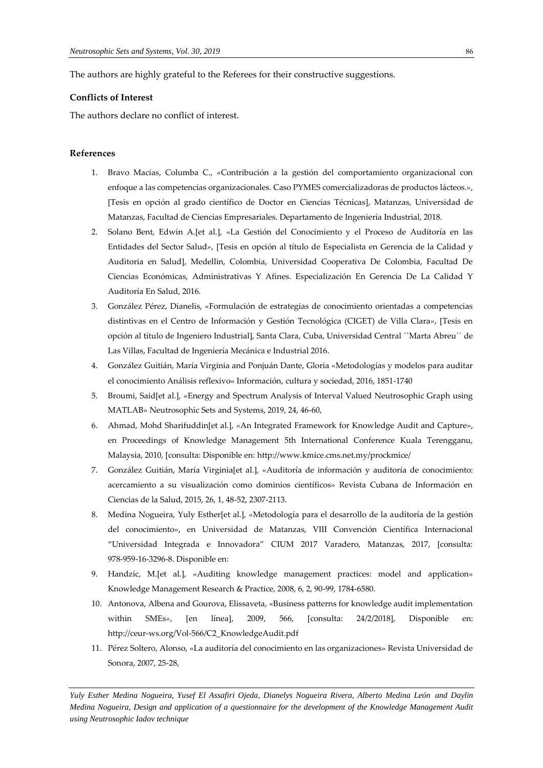The authors are highly grateful to the Referees for their constructive suggestions.

## **Conflicts of Interest**

The authors declare no conflict of interest.

#### <span id="page-16-0"></span>**References**

- 1. Bravo Macías, Columba C., «Contribución a la gestión del comportamiento organizacional con enfoque a las competencias organizacionales. Caso PYMES comercializadoras de productos lácteos.», [Tesis en opción al grado científico de Doctor en Ciencias Técnicas], Matanzas, Universidad de Matanzas, Facultad de Ciencias Empresariales. Departamento de Ingeniería Industrial, 2018.
- <span id="page-16-1"></span>2. Solano Bent, Edwin A.[et al.], «La Gestión del Conocimiento y el Proceso de Auditoría en las Entidades del Sector Salud», [Tesis en opción al título de Especialista en Gerencia de la Calidad y Auditoria en Salud], Medellin, Colombia, Universidad Cooperativa De Colombia, Facultad De Ciencias Económicas, Administrativas Y Afines. Especialización En Gerencia De La Calidad Y Auditoría En Salud, 2016.
- <span id="page-16-2"></span>3. González Pérez, Dianelis, «Formulación de estrategias de conocimiento orientadas a competencias distintivas en el Centro de Información y Gestión Tecnológica (CIGET) de Villa Clara», [Tesis en opción al título de Ingeniero Industrial], Santa Clara, Cuba, Universidad Central ´´Marta Abreu´´ de Las Villas, Facultad de Ingeniería Mecánica e Industrial 2016.
- <span id="page-16-3"></span>4. González Guitián, María Virginia and Ponjuán Dante, Gloria «Metodologías y modelos para auditar el conocimiento Análisis reflexivo» Información, cultura y sociedad, 2016, 1851-1740
- <span id="page-16-4"></span>5. Broumi, Said[et al.], «Energy and Spectrum Analysis of Interval Valued Neutrosophic Graph using MATLAB» Neutrosophic Sets and Systems, 2019, 24, 46-60,
- <span id="page-16-5"></span>6. Ahmad, Mohd Sharifuddin[et al.], «An Integrated Framework for Knowledge Audit and Capture», en Proceedings of Knowledge Management 5th International Conference Kuala Terengganu, Malaysia, 2010, [consulta: Disponible en: http://www.kmice.cms.net.my/prockmice/
- <span id="page-16-6"></span>7. González Guitián, María Virginia[et al.], «Auditoría de información y auditoría de conocimiento: acercamiento a su visualización como dominios científicos» Revista Cubana de Información en Ciencias de la Salud, 2015, 26, 1, 48-52, 2307-2113.
- <span id="page-16-7"></span>8. Medina Nogueira, Yuly Esther[et al.], «Metodología para el desarrollo de la auditoría de la gestión del conocimiento», en Universidad de Matanzas, VIII Convención Científica Internacional "Universidad Integrada e Innovadora" CIUM 2017 Varadero, Matanzas, 2017, [consulta: 978-959-16-3296-8. Disponible en:
- <span id="page-16-8"></span>9. Handzic, M.[et al.], «Auditing knowledge management practices: model and application» Knowledge Management Research & Practice, 2008, 6, 2, 90-99, 1784-6580.
- <span id="page-16-9"></span>10. Antonova, Albena and Gourova, Elissaveta, «Business patterns for knowledge audit implementation within SMEs», [en línea], 2009, 566, [consulta: 24/2/2018], Disponible en: http://ceur-ws.org/Vol-566/C2\_KnowledgeAudit.pdf
- <span id="page-16-10"></span>11. Pérez Soltero, Alonso, «La auditoría del conocimiento en las organizaciones» Revista Universidad de Sonora, 2007, 25-28,

*Yuly Esther Medina Nogueira, Yusef El Assafiri Ojeda, Dianelys Nogueira Rivera, Alberto Medina León and Daylin Medina Nogueira, Design and application of a questionnaire for the development of the Knowledge Management Audit using Neutrosophic Iadov technique*